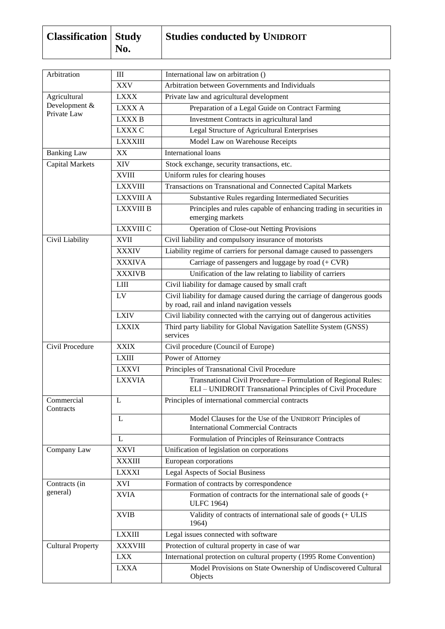| <b>Classification</b> Study | No. | <b>Studies conducted by UNIDROIT</b> |
|-----------------------------|-----|--------------------------------------|
|                             |     |                                      |

| Arbitration              | III              | International law on arbitration ()                                                                                          |
|--------------------------|------------------|------------------------------------------------------------------------------------------------------------------------------|
|                          | <b>XXV</b>       | Arbitration between Governments and Individuals                                                                              |
| Agricultural             | <b>LXXX</b>      | Private law and agricultural development                                                                                     |
| Development &            | LXXX A           | Preparation of a Legal Guide on Contract Farming                                                                             |
| Private Law              | <b>LXXXB</b>     | Investment Contracts in agricultural land                                                                                    |
|                          | <b>LXXX C</b>    | Legal Structure of Agricultural Enterprises                                                                                  |
|                          | <b>LXXXIII</b>   | Model Law on Warehouse Receipts                                                                                              |
| <b>Banking Law</b>       | XX               | International loans                                                                                                          |
| <b>Capital Markets</b>   | XIV              | Stock exchange, security transactions, etc.                                                                                  |
|                          | <b>XVIII</b>     | Uniform rules for clearing houses                                                                                            |
|                          | <b>LXXVIII</b>   | Transactions on Transnational and Connected Capital Markets                                                                  |
|                          | <b>LXXVIII A</b> | Substantive Rules regarding Intermediated Securities                                                                         |
|                          | <b>LXXVIII B</b> | Principles and rules capable of enhancing trading in securities in<br>emerging markets                                       |
|                          | <b>LXXVIII C</b> | <b>Operation of Close-out Netting Provisions</b>                                                                             |
| Civil Liability          | <b>XVII</b>      | Civil liability and compulsory insurance of motorists                                                                        |
|                          | <b>XXXIV</b>     | Liability regime of carriers for personal damage caused to passengers                                                        |
|                          | <b>XXXIVA</b>    | Carriage of passengers and luggage by road $(+$ CVR)                                                                         |
|                          | <b>XXXIVB</b>    | Unification of the law relating to liability of carriers                                                                     |
|                          | <b>LIII</b>      | Civil liability for damage caused by small craft                                                                             |
|                          | LV               | Civil liability for damage caused during the carriage of dangerous goods<br>by road, rail and inland navigation vessels      |
|                          | <b>LXIV</b>      | Civil liability connected with the carrying out of dangerous activities                                                      |
|                          | <b>LXXIX</b>     | Third party liability for Global Navigation Satellite System (GNSS)<br>services                                              |
| Civil Procedure          | <b>XXIX</b>      | Civil procedure (Council of Europe)                                                                                          |
|                          | <b>LXIII</b>     | Power of Attorney                                                                                                            |
|                          | <b>LXXVI</b>     | Principles of Transnational Civil Procedure                                                                                  |
|                          | <b>LXXVIA</b>    | Transnational Civil Procedure - Formulation of Regional Rules:<br>ELI - UNIDROIT Transnational Principles of Civil Procedure |
| Commercial<br>Contracts  | L                | Principles of international commercial contracts                                                                             |
|                          | L                | Model Clauses for the Use of the UNIDROIT Principles of<br><b>International Commercial Contracts</b>                         |
|                          | L                | Formulation of Principles of Reinsurance Contracts                                                                           |
| Company Law              | <b>XXVI</b>      | Unification of legislation on corporations                                                                                   |
|                          | <b>XXXIII</b>    | European corporations                                                                                                        |
|                          | <b>LXXXI</b>     | <b>Legal Aspects of Social Business</b>                                                                                      |
| Contracts (in            | <b>XVI</b>       | Formation of contracts by correspondence                                                                                     |
| general)                 | <b>XVIA</b>      | Formation of contracts for the international sale of goods (+<br><b>ULFC 1964)</b>                                           |
|                          | <b>XVIB</b>      | Validity of contracts of international sale of goods (+ ULIS<br>1964)                                                        |
|                          | <b>LXXIII</b>    | Legal issues connected with software                                                                                         |
| <b>Cultural Property</b> | <b>XXXVIII</b>   | Protection of cultural property in case of war                                                                               |
|                          | <b>LXX</b>       | International protection on cultural property (1995 Rome Convention)                                                         |
|                          | <b>LXXA</b>      | Model Provisions on State Ownership of Undiscovered Cultural<br>Objects                                                      |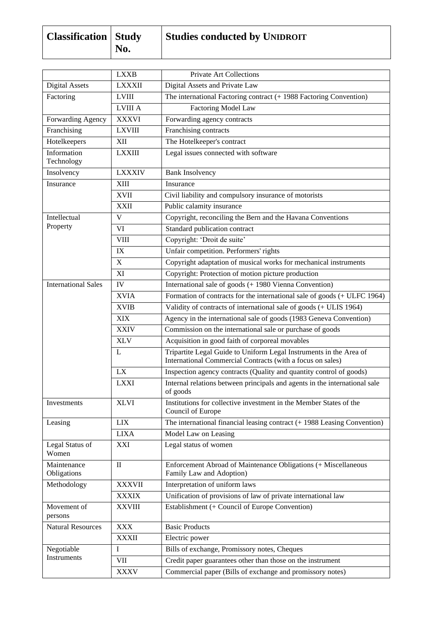| <b>Classification</b> Study |     | <b>Studies conducted by UNIDROIT</b> |
|-----------------------------|-----|--------------------------------------|
|                             | No. |                                      |

|                            | <b>LXXB</b>    | Private Art Collections                                                                                                          |
|----------------------------|----------------|----------------------------------------------------------------------------------------------------------------------------------|
| Digital Assets             | <b>LXXXII</b>  | Digital Assets and Private Law                                                                                                   |
| Factoring                  | <b>LVIII</b>   | The international Factoring contract (+ 1988 Factoring Convention)                                                               |
|                            | <b>LVIII A</b> | Factoring Model Law                                                                                                              |
| Forwarding Agency          | <b>XXXVI</b>   | Forwarding agency contracts                                                                                                      |
| Franchising                | <b>LXVIII</b>  | Franchising contracts                                                                                                            |
| Hotelkeepers               | XII            | The Hotelkeeper's contract                                                                                                       |
| Information<br>Technology  | <b>LXXIII</b>  | Legal issues connected with software                                                                                             |
| Insolvency                 | <b>LXXXIV</b>  | <b>Bank Insolvency</b>                                                                                                           |
| Insurance                  | XIII           | Insurance                                                                                                                        |
|                            | <b>XVII</b>    | Civil liability and compulsory insurance of motorists                                                                            |
|                            | <b>XXII</b>    | Public calamity insurance                                                                                                        |
| Intellectual               | $\mathbf{V}$   | Copyright, reconciling the Bern and the Havana Conventions                                                                       |
| Property                   | VI             | Standard publication contract                                                                                                    |
|                            | <b>VIII</b>    | Copyright: 'Droit de suite'                                                                                                      |
|                            | IX             | Unfair competition. Performers' rights                                                                                           |
|                            | $\mathbf X$    | Copyright adaptation of musical works for mechanical instruments                                                                 |
|                            | XI             | Copyright: Protection of motion picture production                                                                               |
| <b>International Sales</b> | IV             | International sale of goods (+ 1980 Vienna Convention)                                                                           |
|                            | <b>XVIA</b>    | Formation of contracts for the international sale of goods (+ ULFC 1964)                                                         |
|                            | <b>XVIB</b>    | Validity of contracts of international sale of goods (+ ULIS 1964)                                                               |
|                            | <b>XIX</b>     | Agency in the international sale of goods (1983 Geneva Convention)                                                               |
|                            | <b>XXIV</b>    | Commission on the international sale or purchase of goods                                                                        |
|                            | <b>XLV</b>     | Acquisition in good faith of corporeal movables                                                                                  |
|                            | L              | Tripartite Legal Guide to Uniform Legal Instruments in the Area of<br>International Commercial Contracts (with a focus on sales) |
|                            | <b>LX</b>      | Inspection agency contracts (Quality and quantity control of goods)                                                              |
|                            | <b>LXXI</b>    | Internal relations between principals and agents in the international sale<br>of goods                                           |
| Investments                | <b>XLVI</b>    | Institutions for collective investment in the Member States of the<br>Council of Europe                                          |
| Leasing                    | <b>LIX</b>     | The international financial leasing contract $(+ 1988$ Leasing Convention)                                                       |
|                            | <b>LIXA</b>    | Model Law on Leasing                                                                                                             |
| Legal Status of<br>Women   | XXI            | Legal status of women                                                                                                            |
| Maintenance<br>Obligations | $\mathbf{I}$   | Enforcement Abroad of Maintenance Obligations (+ Miscellaneous<br>Family Law and Adoption)                                       |
| Methodology                | <b>XXXVII</b>  | Interpretation of uniform laws                                                                                                   |
|                            | <b>XXXIX</b>   | Unification of provisions of law of private international law                                                                    |
| Movement of<br>persons     | <b>XXVIII</b>  | Establishment (+ Council of Europe Convention)                                                                                   |
| <b>Natural Resources</b>   | <b>XXX</b>     | <b>Basic Products</b>                                                                                                            |
|                            | <b>XXXII</b>   | Electric power                                                                                                                   |
| Negotiable<br>Instruments  | I              | Bills of exchange, Promissory notes, Cheques                                                                                     |
|                            | VII            | Credit paper guarantees other than those on the instrument                                                                       |
|                            | <b>XXXV</b>    | Commercial paper (Bills of exchange and promissory notes)                                                                        |
|                            |                |                                                                                                                                  |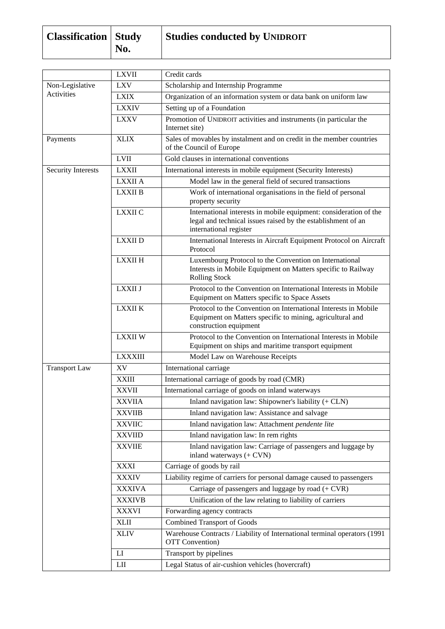| <b>Classification</b> Study | No. | <b>Studies conducted by UNIDROIT</b> |
|-----------------------------|-----|--------------------------------------|
|                             |     |                                      |

|                           | <b>LXVII</b>   | Credit cards                                                                                                                                                |
|---------------------------|----------------|-------------------------------------------------------------------------------------------------------------------------------------------------------------|
| Non-Legislative           | <b>LXV</b>     | Scholarship and Internship Programme                                                                                                                        |
| Activities                | <b>LXIX</b>    | Organization of an information system or data bank on uniform law                                                                                           |
|                           | <b>LXXIV</b>   | Setting up of a Foundation                                                                                                                                  |
|                           | <b>LXXV</b>    | Promotion of UNIDROIT activities and instruments (in particular the<br>Internet site)                                                                       |
| Payments                  | <b>XLIX</b>    | Sales of movables by instalment and on credit in the member countries<br>of the Council of Europe                                                           |
|                           | <b>LVII</b>    | Gold clauses in international conventions                                                                                                                   |
| <b>Security Interests</b> | <b>LXXII</b>   | International interests in mobile equipment (Security Interests)                                                                                            |
|                           | LXXII A        | Model law in the general field of secured transactions                                                                                                      |
|                           | <b>LXXII B</b> | Work of international organisations in the field of personal<br>property security                                                                           |
|                           | <b>LXXII C</b> | International interests in mobile equipment: consideration of the<br>legal and technical issues raised by the establishment of an<br>international register |
|                           | <b>LXXII D</b> | International Interests in Aircraft Equipment Protocol on Aircraft<br>Protocol                                                                              |
|                           | <b>LXXII H</b> | Luxembourg Protocol to the Convention on International<br>Interests in Mobile Equipment on Matters specific to Railway<br><b>Rolling Stock</b>              |
|                           | LXXII J        | Protocol to the Convention on International Interests in Mobile<br>Equipment on Matters specific to Space Assets                                            |
|                           | <b>LXXII K</b> | Protocol to the Convention on International Interests in Mobile<br>Equipment on Matters specific to mining, agricultural and<br>construction equipment      |
|                           | <b>LXXIIW</b>  | Protocol to the Convention on International Interests in Mobile<br>Equipment on ships and maritime transport equipment                                      |
|                           | <b>LXXXIII</b> | Model Law on Warehouse Receipts                                                                                                                             |
| <b>Transport Law</b>      | XV             | International carriage                                                                                                                                      |
|                           | <b>XXIII</b>   | International carriage of goods by road (CMR)                                                                                                               |
|                           | <b>XXVII</b>   | International carriage of goods on inland waterways                                                                                                         |
|                           | <b>XXVIIA</b>  | Inland navigation law: Shipowner's liability (+ CLN)                                                                                                        |
|                           | <b>XXVIIB</b>  | Inland navigation law: Assistance and salvage                                                                                                               |
|                           | <b>XXVIIC</b>  | Inland navigation law: Attachment pendente lite                                                                                                             |
|                           | <b>XXVIID</b>  | Inland navigation law: In rem rights                                                                                                                        |
|                           | <b>XXVIIE</b>  | Inland navigation law: Carriage of passengers and luggage by<br>inland waterways (+ CVN)                                                                    |
|                           | <b>XXXI</b>    | Carriage of goods by rail                                                                                                                                   |
|                           | <b>XXXIV</b>   | Liability regime of carriers for personal damage caused to passengers                                                                                       |
|                           | <b>XXXIVA</b>  | Carriage of passengers and luggage by road $(+ CVR)$                                                                                                        |
|                           | <b>XXXIVB</b>  | Unification of the law relating to liability of carriers                                                                                                    |
|                           | <b>XXXVI</b>   | Forwarding agency contracts                                                                                                                                 |
|                           | <b>XLII</b>    | <b>Combined Transport of Goods</b>                                                                                                                          |
|                           | <b>XLIV</b>    | Warehouse Contracts / Liability of International terminal operators (1991)<br><b>OTT</b> Convention)                                                        |
|                           | LI             | Transport by pipelines                                                                                                                                      |
|                           | LII            | Legal Status of air-cushion vehicles (hovercraft)                                                                                                           |